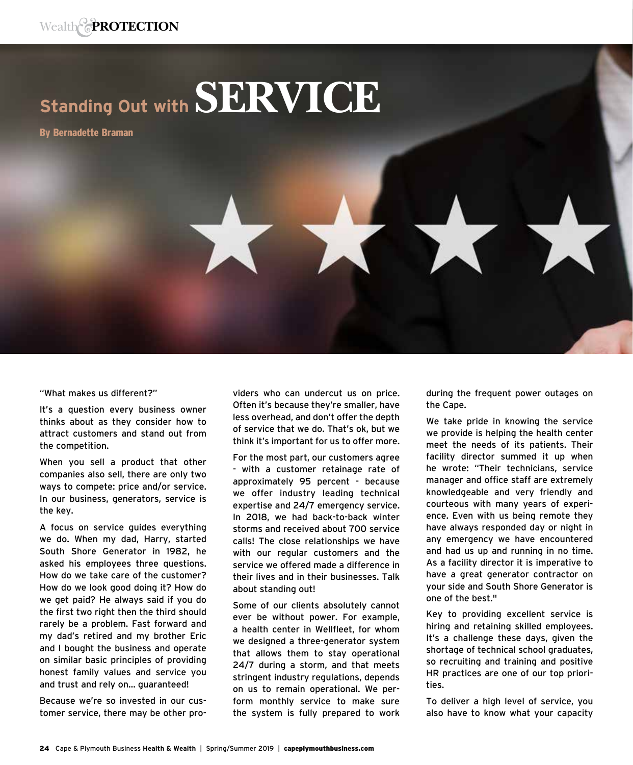## **Standing Out with SERVICE**

By Bernadette Braman

"What makes us different?"

It's a question every business owner thinks about as they consider how to attract customers and stand out from the competition.

When you sell a product that other companies also sell, there are only two ways to compete: price and/or service. In our business, generators, service is the key.

A focus on service guides everything we do. When my dad, Harry, started South Shore Generator in 1982, he asked his employees three questions. How do we take care of the customer? How do we look good doing it? How do we get paid? He always said if you do the first two right then the third should rarely be a problem. Fast forward and my dad's retired and my brother Eric and I bought the business and operate on similar basic principles of providing honest family values and service you and trust and rely on… guaranteed!

Because we're so invested in our customer service, there may be other providers who can undercut us on price. Often it's because they're smaller, have less overhead, and don't offer the depth of service that we do. That's ok, but we think it's important for us to offer more.

For the most part, our customers agree - with a customer retainage rate of approximately 95 percent - because we offer industry leading technical expertise and 24/7 emergency service. In 2018, we had back-to-back winter storms and received about 700 service calls! The close relationships we have with our regular customers and the service we offered made a difference in their lives and in their businesses. Talk about standing out!

Some of our clients absolutely cannot ever be without power. For example, a health center in Wellfleet, for whom we designed a three-generator system that allows them to stay operational 24/7 during a storm, and that meets stringent industry regulations, depends on us to remain operational. We perform monthly service to make sure the system is fully prepared to work during the frequent power outages on the Cape.

We take pride in knowing the service we provide is helping the health center meet the needs of its patients. Their facility director summed it up when he wrote: "Their technicians, service manager and office staff are extremely knowledgeable and very friendly and courteous with many years of experience. Even with us being remote they have always responded day or night in any emergency we have encountered and had us up and running in no time. As a facility director it is imperative to have a great generator contractor on your side and South Shore Generator is one of the best."

Key to providing excellent service is hiring and retaining skilled employees. It's a challenge these days, given the shortage of technical school graduates, so recruiting and training and positive HR practices are one of our top priorities.

To deliver a high level of service, you also have to know what your capacity